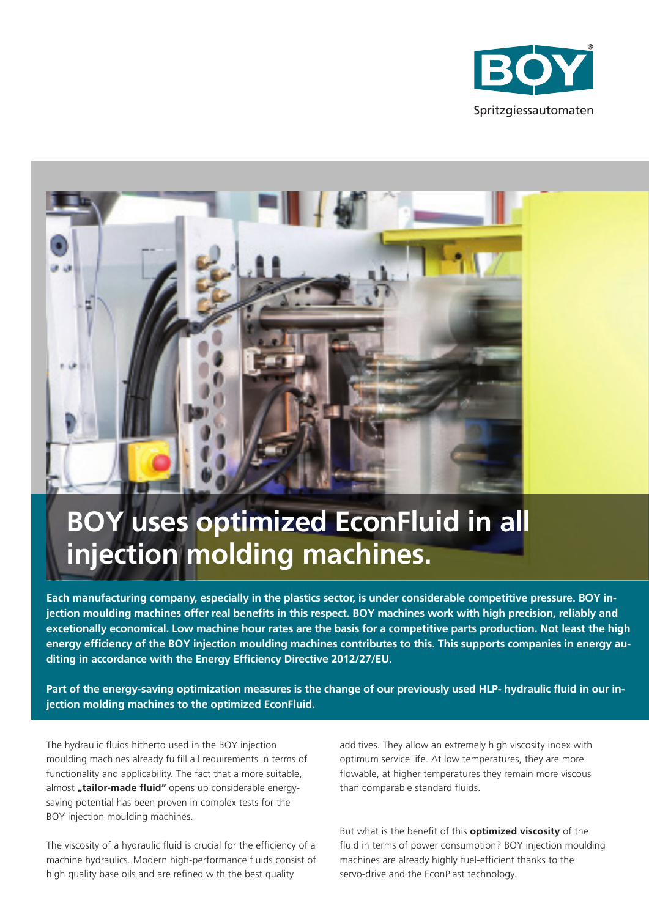



# **BOY uses optimized EconFluid in all injection molding machines.**

**Each manufacturing company, especially in the plastics sector, is under considerable competitive pressure. BOY injection moulding machines offer real benefits in this respect. BOY machines work with high precision, reliably and excetionally economical. Low machine hour rates are the basis for a competitive parts production. Not least the high energy efficiency of the BOY injection moulding machines contributes to this. This supports companies in energy auditing in accordance with the Energy Efficiency Directive 2012/27/EU.**

**Part of the energy-saving optimization measures is the change of our previously used HLP- hydraulic fluid in our injection molding machines to the optimized EconFluid.**

The hydraulic fluids hitherto used in the BOY injection moulding machines already fulfill all requirements in terms of functionality and applicability. The fact that a more suitable, almost "tailor-made fluid" opens up considerable energysaving potential has been proven in complex tests for the BOY injection moulding machines.

The viscosity of a hydraulic fluid is crucial for the efficiency of a machine hydraulics. Modern high-performance fluids consist of high quality base oils and are refined with the best quality

additives. They allow an extremely high viscosity index with optimum service life. At low temperatures, they are more flowable, at higher temperatures they remain more viscous than comparable standard fluids.

But what is the benefit of this **optimized viscosity** of the fluid in terms of power consumption? BOY injection moulding machines are already highly fuel-efficient thanks to the servo-drive and the EconPlast technology.